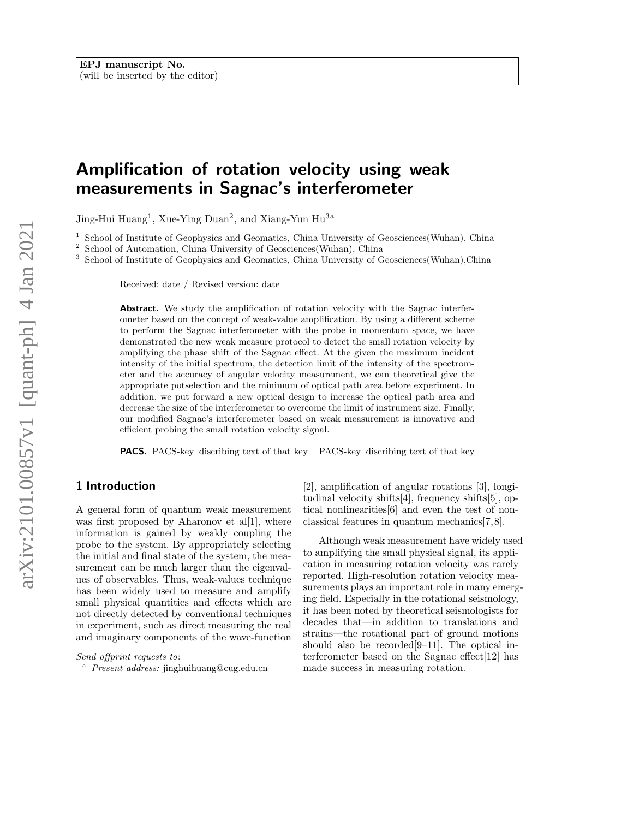# Amplification of rotation velocity using weak measurements in Sagnac's interferometer

Jing-Hui Huang<sup>1</sup>, Xue-Ying Duan<sup>2</sup>, and Xiang-Yun Hu<sup>3a</sup>

<sup>1</sup> School of Institute of Geophysics and Geomatics, China University of Geosciences(Wuhan), China

<sup>2</sup> School of Automation, China University of Geosciences(Wuhan), China

<sup>3</sup> School of Institute of Geophysics and Geomatics, China University of Geosciences(Wuhan),China

Received: date / Revised version: date

Abstract. We study the amplification of rotation velocity with the Sagnac interferometer based on the concept of weak-value amplification. By using a different scheme to perform the Sagnac interferometer with the probe in momentum space, we have demonstrated the new weak measure protocol to detect the small rotation velocity by amplifying the phase shift of the Sagnac effect. At the given the maximum incident intensity of the initial spectrum, the detection limit of the intensity of the spectrometer and the accuracy of angular velocity measurement, we can theoretical give the appropriate potselection and the minimum of optical path area before experiment. In addition, we put forward a new optical design to increase the optical path area and decrease the size of the interferometer to overcome the limit of instrument size. Finally, our modified Sagnac's interferometer based on weak measurement is innovative and efficient probing the small rotation velocity signal.

PACS. PACS-key discribing text of that key – PACS-key discribing text of that key

## 1 Introduction

A general form of quantum weak measurement was first proposed by Aharonov et al[1], where information is gained by weakly coupling the probe to the system. By appropriately selecting the initial and final state of the system, the measurement can be much larger than the eigenvalues of observables. Thus, weak-values technique has been widely used to measure and amplify small physical quantities and effects which are not directly detected by conventional techniques in experiment, such as direct measuring the real and imaginary components of the wave-function

[2], amplification of angular rotations [3], longitudinal velocity shifts[4], frequency shifts[5], optical nonlinearities[6] and even the test of nonclassical features in quantum mechanics[7, 8].

Although weak measurement have widely used to amplifying the small physical signal, its application in measuring rotation velocity was rarely reported. High-resolution rotation velocity measurements plays an important role in many emerging field. Especially in the rotational seismology, it has been noted by theoretical seismologists for decades that—in addition to translations and strains—the rotational part of ground motions should also be recorded[9–11]. The optical interferometer based on the Sagnac effect[12] has made success in measuring rotation.

Send offprint requests to:

<sup>&</sup>lt;sup>a</sup> Present address: jinghuihuang@cug.edu.cn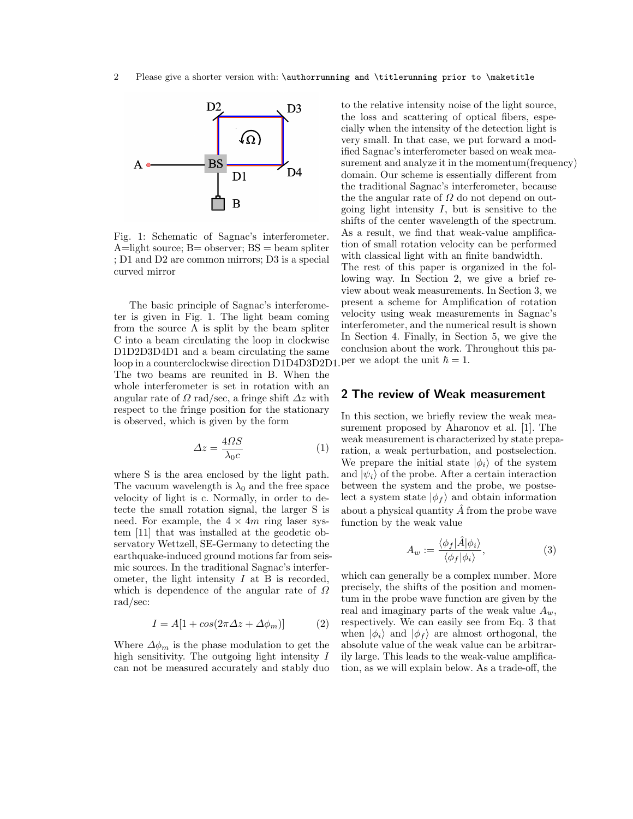

Fig. 1: Schematic of Sagnac's interferometer.  $A=$ light source;  $B=$  observer;  $BS=$  beam spliter ; D1 and D2 are common mirrors; D3 is a special curved mirror

The basic principle of Sagnac's interferometer is given in Fig. 1. The light beam coming from the source A is split by the beam spliter C into a beam circulating the loop in clockwise D1D2D3D4D1 and a beam circulating the same  $\mu$  loop in a counterclockwise direction D1D4D3D2D1. Per we adopt the unit  $\hbar = 1$ . The two beams are reunited in B. When the whole interferometer is set in rotation with an angular rate of  $\Omega$  rad/sec, a fringe shift  $\Delta z$  with respect to the fringe position for the stationary is observed, which is given by the form

$$
\Delta z = \frac{4\Omega S}{\lambda_0 c} \tag{1}
$$

where S is the area enclosed by the light path. The vacuum wavelength is  $\lambda_0$  and the free space velocity of light is c. Normally, in order to detecte the small rotation signal, the larger S is need. For example, the  $4 \times 4m$  ring laser system [11] that was installed at the geodetic observatory Wettzell, SE-Germany to detecting the earthquake-induced ground motions far from seismic sources. In the traditional Sagnac's interferometer, the light intensity  $I$  at  $B$  is recorded, which is dependence of the angular rate of  $\Omega$ rad/sec:

$$
I = A[1 + \cos(2\pi \Delta z + \Delta \phi_m)] \tag{2}
$$

Where  $\Delta \phi_m$  is the phase modulation to get the high sensitivity. The outgoing light intensity I can not be measured accurately and stably duo

to the relative intensity noise of the light source, the loss and scattering of optical fibers, especially when the intensity of the detection light is very small. In that case, we put forward a modified Sagnac's interferometer based on weak measurement and analyze it in the momentum(frequency) domain. Our scheme is essentially different from the traditional Sagnac's interferometer, because the the angular rate of  $\Omega$  do not depend on outgoing light intensity  $I$ , but is sensitive to the shifts of the center wavelength of the spectrum. As a result, we find that weak-value amplification of small rotation velocity can be performed with classical light with an finite bandwidth. The rest of this paper is organized in the following way. In Section 2, we give a brief review about weak measurements. In Section 3, we present a scheme for Amplification of rotation velocity using weak measurements in Sagnac's interferometer, and the numerical result is shown In Section 4. Finally, in Section 5, we give the conclusion about the work. Throughout this pa-

## 2 The review of Weak measurement

In this section, we briefly review the weak measurement proposed by Aharonov et al. [1]. The weak measurement is characterized by state preparation, a weak perturbation, and postselection. We prepare the initial state  $|\phi_i\rangle$  of the system and  $|\psi_i\rangle$  of the probe. After a certain interaction between the system and the probe, we postselect a system state  $|\phi_f\rangle$  and obtain information about a physical quantity  $\hat{A}$  from the probe wave function by the weak value

$$
A_w := \frac{\langle \phi_f | \hat{A} | \phi_i \rangle}{\langle \phi_f | \phi_i \rangle},\tag{3}
$$

which can generally be a complex number. More precisely, the shifts of the position and momentum in the probe wave function are given by the real and imaginary parts of the weak value  $A_w$ , respectively. We can easily see from Eq. 3 that when  $|\phi_i\rangle$  and  $|\phi_f\rangle$  are almost orthogonal, the absolute value of the weak value can be arbitrarily large. This leads to the weak-value amplification, as we will explain below. As a trade-off, the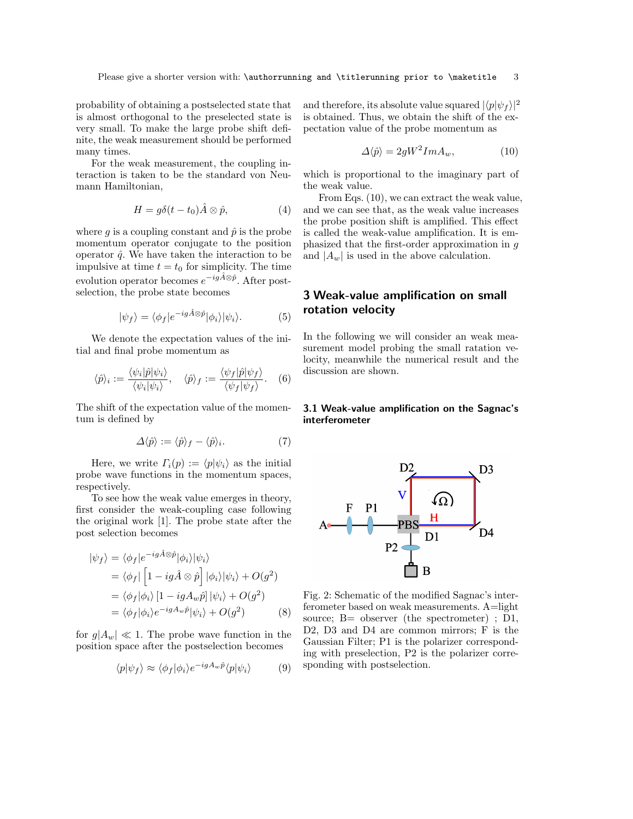probability of obtaining a postselected state that is almost orthogonal to the preselected state is very small. To make the large probe shift definite, the weak measurement should be performed many times.

For the weak measurement, the coupling interaction is taken to be the standard von Neumann Hamiltonian,

$$
H = g\delta(t - t_0)\hat{A} \otimes \hat{p}, \qquad (4)
$$

where q is a coupling constant and  $\hat{p}$  is the probe momentum operator conjugate to the position operator  $\hat{q}$ . We have taken the interaction to be impulsive at time  $t = t_0$  for simplicity. The time evolution operator becomes  $e^{-ig\hat{A}\otimes\hat{p}}$ . After postselection, the probe state becomes

$$
|\psi_f\rangle = \langle \phi_f | e^{-ig\hat{A}\otimes\hat{p}} | \phi_i \rangle |\psi_i\rangle. \tag{5}
$$

We denote the expectation values of the initial and final probe momentum as

$$
\langle \hat{p} \rangle_i := \frac{\langle \psi_i | \hat{p} | \psi_i \rangle}{\langle \psi_i | \psi_i \rangle}, \quad \langle \hat{p} \rangle_f := \frac{\langle \psi_f | \hat{p} | \psi_f \rangle}{\langle \psi_f | \psi_f \rangle}.
$$
 (6)

The shift of the expectation value of the momentum is defined by

$$
\Delta \langle \hat{p} \rangle := \langle \hat{p} \rangle_f - \langle \hat{p} \rangle_i. \tag{7}
$$

Here, we write  $\Gamma_i(p) := \langle p | \psi_i \rangle$  as the initial probe wave functions in the momentum spaces, respectively.

To see how the weak value emerges in theory, first consider the weak-coupling case following the original work [1]. The probe state after the post selection becomes

$$
|\psi_f\rangle = \langle \phi_f | e^{-ig\hat{A}\otimes\hat{p}} |\phi_i\rangle |\psi_i\rangle
$$
  
\n
$$
= \langle \phi_f | \left[ 1 - ig\hat{A} \otimes \hat{p} \right] |\phi_i\rangle |\psi_i\rangle + O(g^2)
$$
  
\n
$$
= \langle \phi_f | \phi_i \rangle \left[ 1 - igA_w\hat{p} \right] |\psi_i\rangle + O(g^2)
$$
  
\n
$$
= \langle \phi_f | \phi_i \rangle e^{-igA_w\hat{p}} |\psi_i\rangle + O(g^2)
$$
 (8)

for  $g|A_w| \ll 1$ . The probe wave function in the position space after the postselection becomes

$$
\langle p|\psi_f\rangle \approx \langle \phi_f|\phi_i\rangle e^{-igA_w\hat{p}}\langle p|\psi_i\rangle \tag{9}
$$

and therefore, its absolute value squared  $|\langle p|\psi_f\rangle|^2$ is obtained. Thus, we obtain the shift of the expectation value of the probe momentum as

$$
\Delta \langle \hat{p} \rangle = 2gW^2 Im A_w, \qquad (10)
$$

which is proportional to the imaginary part of the weak value.

From Eqs. (10), we can extract the weak value, and we can see that, as the weak value increases the probe position shift is amplified. This effect is called the weak-value amplification. It is emphasized that the first-order approximation in g and  $|A_w|$  is used in the above calculation.

## 3 Weak-value amplification on small rotation velocity

In the following we will consider an weak measurement model probing the small ratation velocity, meanwhile the numerical result and the discussion are shown.

## 3.1 Weak-value amplification on the Sagnac's interferometer



Fig. 2: Schematic of the modified Sagnac's interferometer based on weak measurements. A=light source; B= observer (the spectrometer) ; D1, D2, D3 and D4 are common mirrors; F is the Gaussian Filter; P1 is the polarizer corresponding with preselection, P2 is the polarizer corresponding with postselection.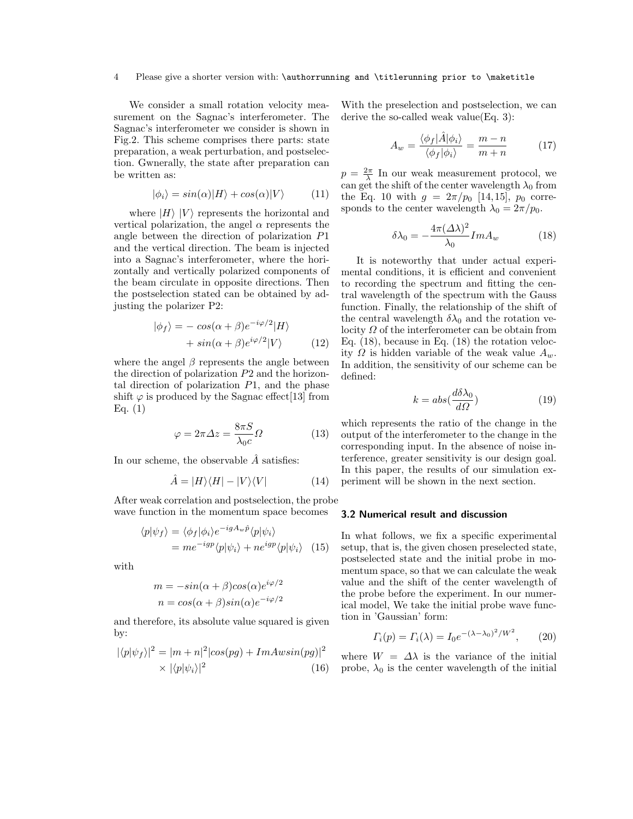#### 4 Please give a shorter version with: \authorrunning and \titlerunning prior to \maketitle

We consider a small rotation velocity measurement on the Sagnac's interferometer. The Sagnac's interferometer we consider is shown in Fig.2. This scheme comprises there parts: state preparation, a weak perturbation, and postselection. Gwnerally, the state after preparation can be written as:

$$
|\phi_i\rangle = \sin(\alpha)|H\rangle + \cos(\alpha)|V\rangle \tag{11}
$$

where  $|H\rangle |V\rangle$  represents the horizontal and vertical polarization, the angel  $\alpha$  represents the angle between the direction of polarization P1 and the vertical direction. The beam is injected into a Sagnac's interferometer, where the horizontally and vertically polarized components of the beam circulate in opposite directions. Then the postselection stated can be obtained by adjusting the polarizer P2:

$$
|\phi_f\rangle = -\cos(\alpha + \beta)e^{-i\varphi/2}|H\rangle + \sin(\alpha + \beta)e^{i\varphi/2}|V\rangle
$$
 (12)

where the angel  $\beta$  represents the angle between the direction of polarization P2 and the horizontal direction of polarization  $P1$ , and the phase shift  $\varphi$  is produced by the Sagnac effect [13] from Eq. (1)

$$
\varphi = 2\pi \Delta z = \frac{8\pi S}{\lambda_0 c} \Omega \tag{13}
$$

In our scheme, the observable  $\tilde{A}$  satisfies:

$$
\hat{A} = |H\rangle\langle H| - |V\rangle\langle V| \tag{14}
$$

After weak correlation and postselection, the probe wave function in the momentum space becomes

$$
\langle p|\psi_f\rangle = \langle \phi_f|\phi_i\rangle e^{-igA_w\hat{p}} \langle p|\psi_i\rangle = me^{-igp}\langle p|\psi_i\rangle + ne^{igp}\langle p|\psi_i\rangle
$$
 (15)

with

$$
m = -\sin(\alpha + \beta)\cos(\alpha)e^{i\varphi/2}
$$
  

$$
n = \cos(\alpha + \beta)\sin(\alpha)e^{-i\varphi/2}
$$

and therefore, its absolute value squared is given by:

$$
|\langle p|\psi_f\rangle|^2 = |m+n|^2|\cos(pg) + ImAwsin(pg)|^2
$$
  
 
$$
\times |\langle p|\psi_i\rangle|^2 \tag{16}
$$

With the preselection and postselection, we can derive the so-called weak value(Eq. 3):

$$
A_w = \frac{\langle \phi_f | \hat{A} | \phi_i \rangle}{\langle \phi_f | \phi_i \rangle} = \frac{m - n}{m + n} \tag{17}
$$

 $p = \frac{2\pi}{\lambda}$  In our weak measurement protocol, we can get the shift of the center wavelength  $\lambda_0$  from the Eq. 10 with  $g = 2\pi/p_0$  [14, 15],  $p_0$  corresponds to the center wavelength  $\lambda_0 = 2\pi/p_0$ .

$$
\delta\lambda_0 = -\frac{4\pi(\Delta\lambda)^2}{\lambda_0} Im A_w \tag{18}
$$

It is noteworthy that under actual experimental conditions, it is efficient and convenient to recording the spectrum and fitting the central wavelength of the spectrum with the Gauss function. Finally, the relationship of the shift of the central wavelength  $\delta\lambda_0$  and the rotation velocity  $\Omega$  of the interferometer can be obtain from Eq. (18), because in Eq. (18) the rotation velocity  $\Omega$  is hidden variable of the weak value  $A_w$ . In addition, the sensitivity of our scheme can be defined:

$$
k = abs(\frac{d\delta\lambda_0}{d\Omega})\tag{19}
$$

which represents the ratio of the change in the output of the interferometer to the change in the corresponding input. In the absence of noise interference, greater sensitivity is our design goal. In this paper, the results of our simulation experiment will be shown in the next section.

#### 3.2 Numerical result and discussion

In what follows, we fix a specific experimental setup, that is, the given chosen preselected state, postselected state and the initial probe in momentum space, so that we can calculate the weak value and the shift of the center wavelength of the probe before the experiment. In our numerical model, We take the initial probe wave function in 'Gaussian' form:

$$
\Gamma_i(p) = \Gamma_i(\lambda) = I_0 e^{-(\lambda - \lambda_0)^2/W^2}, \qquad (20)
$$

where  $W = \Delta\lambda$  is the variance of the initial probe,  $\lambda_0$  is the center wavelength of the initial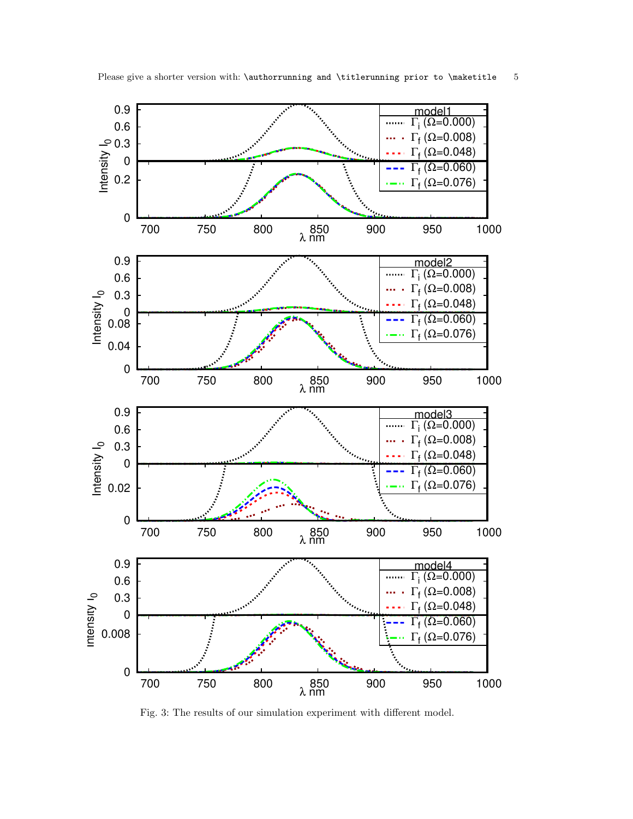

Fig. 3: The results of our simulation experiment with different model.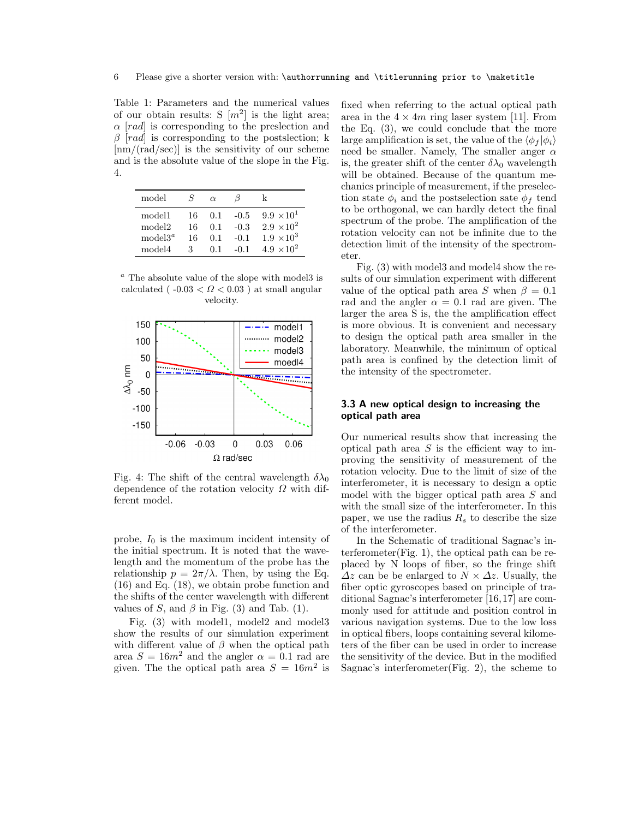Table 1: Parameters and the numerical values of our obtain results: S  $[m^2]$  is the light area;  $\alpha$  [rad] is corresponding to the preslection and  $\beta$  [rad] is corresponding to the postslection; k [nm/(rad/sec)] is the sensitivity of our scheme and is the absolute value of the slope in the Fig. 4.

| model              | S   | $\alpha$ |        | k                   |
|--------------------|-----|----------|--------|---------------------|
| model1             | 16. | 0.1      | $-0.5$ | $9.9 \times 10^{1}$ |
| model <sub>2</sub> | 16  | 0.1      | $-0.3$ | $2.9 \times 10^{2}$ |
| model $3^a$        | 16  | 0.1      | $-0.1$ | $1.9 \times 10^{3}$ |
| model4             | З   | O 1      | $-0.1$ | $4.9 \times 10^{2}$ |

 $a$  The absolute value of the slope with model is calculated ( $-0.03 < \Omega < 0.03$ ) at small angular velocity.



Fig. 4: The shift of the central wavelength  $\delta\lambda_0$ dependence of the rotation velocity  $\Omega$  with different model.

probe,  $I_0$  is the maximum incident intensity of the initial spectrum. It is noted that the wavelength and the momentum of the probe has the relationship  $p = 2\pi/\lambda$ . Then, by using the Eq. (16) and Eq. (18), we obtain probe function and the shifts of the center wavelength with different values of S, and  $\beta$  in Fig. (3) and Tab. (1).

Fig. (3) with model1, model2 and model3 show the results of our simulation experiment with different value of  $\beta$  when the optical path area  $S = 16m^2$  and the angler  $\alpha = 0.1$  rad are given. The the optical path area  $S = 16m^2$  is

fixed when referring to the actual optical path area in the  $4 \times 4m$  ring laser system [11]. From the Eq. (3), we could conclude that the more large amplification is set, the value of the  $\langle \phi_f | \phi_i \rangle$ need be smaller. Namely, The smaller anger  $\alpha$ is, the greater shift of the center  $\delta\lambda_0$  wavelength will be obtained. Because of the quantum mechanics principle of measurement, if the preselection state  $\phi_i$  and the postselection sate  $\phi_f$  tend to be orthogonal, we can hardly detect the final spectrum of the probe. The amplification of the rotation velocity can not be infinite due to the detection limit of the intensity of the spectrometer.

Fig. (3) with model3 and model4 show the results of our simulation experiment with different value of the optical path area S when  $\beta = 0.1$ rad and the angler  $\alpha = 0.1$  rad are given. The larger the area S is, the the amplification effect is more obvious. It is convenient and necessary to design the optical path area smaller in the laboratory. Meanwhile, the minimum of optical path area is confined by the detection limit of the intensity of the spectrometer.

## 3.3 A new optical design to increasing the optical path area

Our numerical results show that increasing the optical path area  $S$  is the efficient way to improving the sensitivity of measurement of the rotation velocity. Due to the limit of size of the interferometer, it is necessary to design a optic model with the bigger optical path area S and with the small size of the interferometer. In this paper, we use the radius  $R_s$  to describe the size of the interferometer.

In the Schematic of traditional Sagnac's interferometer(Fig. 1), the optical path can be replaced by N loops of fiber, so the fringe shift  $\Delta z$  can be be enlarged to  $N \times \Delta z$ . Usually, the fiber optic gyroscopes based on principle of traditional Sagnac's interferometer [16, 17] are commonly used for attitude and position control in various navigation systems. Due to the low loss in optical fibers, loops containing several kilometers of the fiber can be used in order to increase the sensitivity of the device. But in the modified Sagnac's interferometer(Fig. 2), the scheme to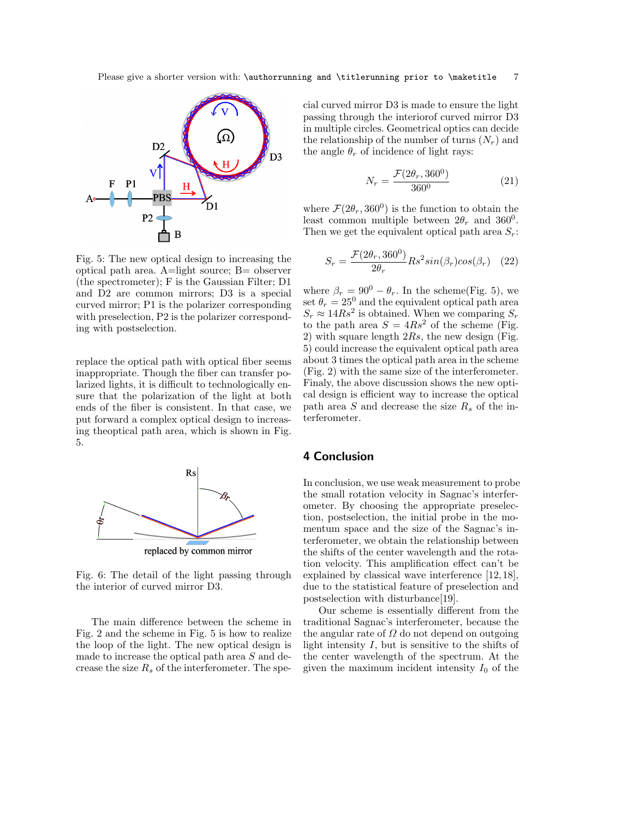

Fig. 5: The new optical design to increasing the optical path area. A=light source; B= observer (the spectrometer); F is the Gaussian Filter; D1 and D2 are common mirrors; D3 is a special curved mirror; P1 is the polarizer corresponding with preselection, P2 is the polarizer corresponding with postselection.

replace the optical path with optical fiber seems inappropriate. Though the fiber can transfer polarized lights, it is difficult to technologically ensure that the polarization of the light at both ends of the fiber is consistent. In that case, we put forward a complex optical design to increasing theoptical path area, which is shown in Fig. 5.



Fig. 6: The detail of the light passing through the interior of curved mirror D3.

The main difference between the scheme in Fig. 2 and the scheme in Fig. 5 is how to realize the loop of the light. The new optical design is made to increase the optical path area S and decrease the size  $R_s$  of the interferometer. The special curved mirror D3 is made to ensure the light passing through the interiorof curved mirror D3 in multiple circles. Geometrical optics can decide the relationship of the number of turns  $(N_r)$  and the angle  $\theta_r$  of incidence of light rays:

$$
N_r = \frac{\mathcal{F}(2\theta_r, 360^0)}{360^0}
$$
 (21)

where  $\mathcal{F}(2\theta_r, 360^0)$  is the function to obtain the least common multiple between  $2\theta_r$  and  $360^0$ . Then we get the equivalent optical path area  $S_r$ :

$$
S_r = \frac{\mathcal{F}(2\theta_r, 360^0)}{2\theta_r} R s^2 \sin(\beta_r) \cos(\beta_r) \quad (22)
$$

where  $\beta_r = 90^0 - \theta_r$ . In the scheme(Fig. 5), we set  $\theta_r = 25^0$  and the equivalent optical path area  $S_r \approx 14Rs^2$  is obtained. When we comparing  $S_r$ to the path area  $S = 4Rs^2$  of the scheme (Fig. 2) with square length  $2Rs$ , the new design (Fig. 5) could increase the equivalent optical path area about 3 times the optical path area in the scheme (Fig. 2) with the same size of the interferometer. Finaly, the above discussion shows the new optical design is efficient way to increase the optical path area S and decrease the size  $R_s$  of the interferometer.

## 4 Conclusion

In conclusion, we use weak measurement to probe the small rotation velocity in Sagnac's interferometer. By choosing the appropriate preselection, postselection, the initial probe in the momentum space and the size of the Sagnac's interferometer, we obtain the relationship between the shifts of the center wavelength and the rotation velocity. This amplification effect can't be explained by classical wave interference [12, 18], due to the statistical feature of preselection and postselection with disturbance[19].

Our scheme is essentially different from the traditional Sagnac's interferometer, because the the angular rate of  $\Omega$  do not depend on outgoing light intensity  $I$ , but is sensitive to the shifts of the center wavelength of the spectrum. At the given the maximum incident intensity  $I_0$  of the